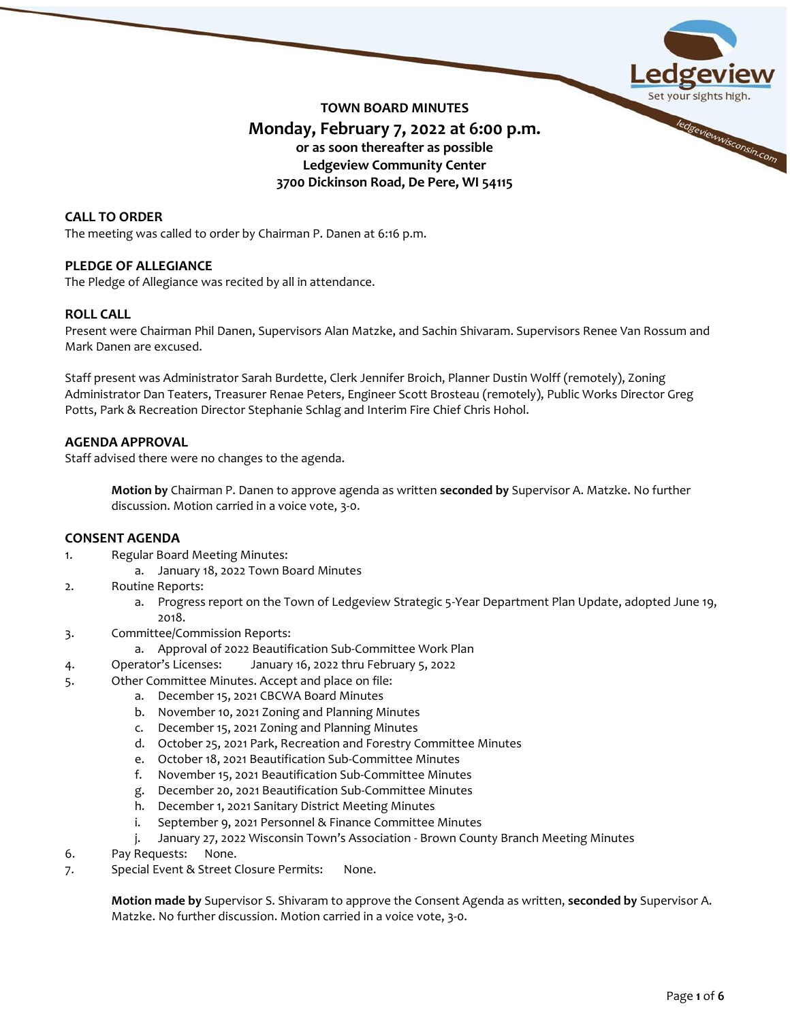

# **TOWN BOARD MINUTES Monday, February 7, 2022 at 6:00 p.m. or as soon thereafter as possible Ledgeview Community Center 3700 Dickinson Road, De Pere, WI 54115**

# **CALL TO ORDER**

The meeting was called to order by Chairman P. Danen at 6:16 p.m.

# **PLEDGE OF ALLEGIANCE**

The Pledge of Allegiance was recited by all in attendance.

# **ROLL CALL**

Present were Chairman Phil Danen, Supervisors Alan Matzke, and Sachin Shivaram. Supervisors Renee Van Rossum and Mark Danen are excused.

Staff present was Administrator Sarah Burdette, Clerk Jennifer Broich, Planner Dustin Wolff (remotely), Zoning Administrator Dan Teaters, Treasurer Renae Peters, Engineer Scott Brosteau (remotely), Public Works Director Greg Potts, Park & Recreation Director Stephanie Schlag and Interim Fire Chief Chris Hohol.

## **AGENDA APPROVAL**

Staff advised there were no changes to the agenda.

**Motion by** Chairman P. Danen to approve agenda as written **seconded by** Supervisor A. Matzke. No further discussion. Motion carried in a voice vote, 3-0.

### **CONSENT AGENDA**

- 1. Regular Board Meeting Minutes:
	- a. January 18, 2022 Town Board Minutes
- 2. Routine Reports:
	- a. Progress report on the Town of Ledgeview Strategic 5-Year Department Plan Update, adopted June 19, 2018.
- 3. Committee/Commission Reports:
	- a. Approval of 2022 Beautification Sub-Committee Work Plan
- 4. Operator's Licenses: January 16, 2022 thru February 5, 2022
- 5. Other Committee Minutes. Accept and place on file:
	- a. December 15, 2021 CBCWA Board Minutes
		- b. November 10, 2021 Zoning and Planning Minutes
		- c. December 15, 2021 Zoning and Planning Minutes
		- d. October 25, 2021 Park, Recreation and Forestry Committee Minutes
		- e. October 18, 2021 Beautification Sub-Committee Minutes
		- f. November 15, 2021 Beautification Sub-Committee Minutes
		- g. December 20, 2021 Beautification Sub-Committee Minutes
		- h. December 1, 2021 Sanitary District Meeting Minutes
		- i. September 9, 2021 Personnel & Finance Committee Minutes
		- j. January 27, 2022 Wisconsin Town's Association Brown County Branch Meeting Minutes
- 6. Pay Requests: None.
- 7. Special Event & Street Closure Permits: None.

**Motion made by** Supervisor S. Shivaram to approve the Consent Agenda as written, **seconded by** Supervisor A. Matzke. No further discussion. Motion carried in a voice vote, 3-0.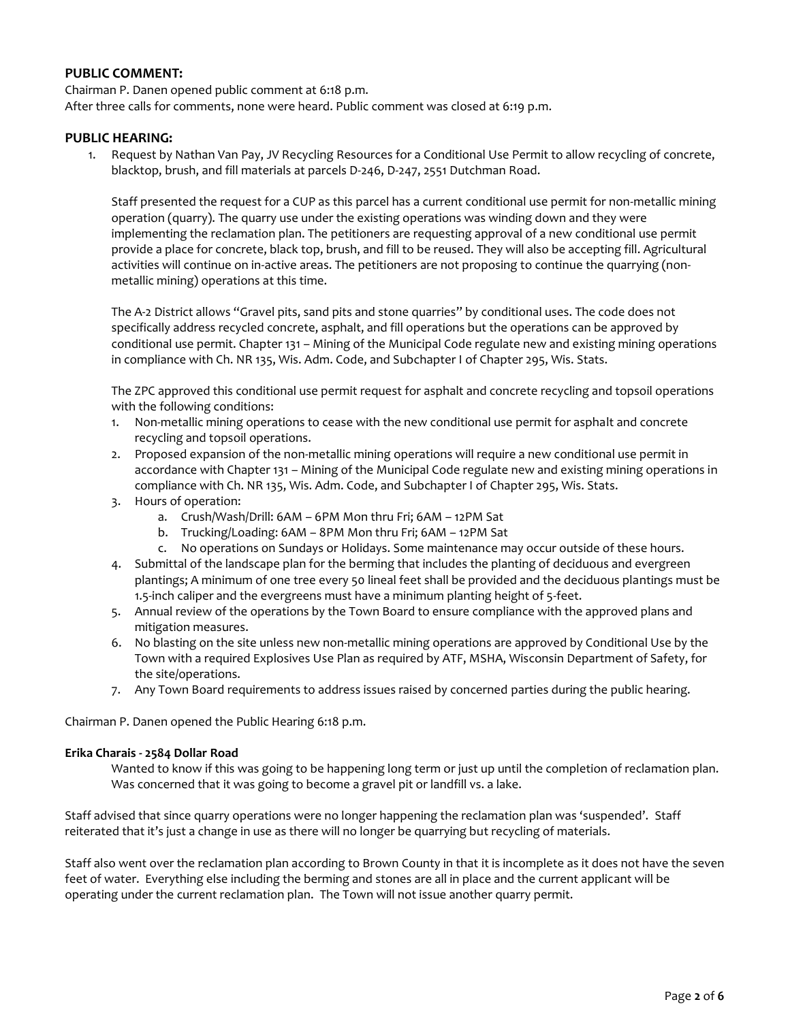# **PUBLIC COMMENT:**

Chairman P. Danen opened public comment at 6:18 p.m. After three calls for comments, none were heard. Public comment was closed at 6:19 p.m.

## **PUBLIC HEARING:**

1. Request by Nathan Van Pay, JV Recycling Resources for a Conditional Use Permit to allow recycling of concrete, blacktop, brush, and fill materials at parcels D-246, D-247, 2551 Dutchman Road.

Staff presented the request for a CUP as this parcel has a current conditional use permit for non-metallic mining operation (quarry). The quarry use under the existing operations was winding down and they were implementing the reclamation plan. The petitioners are requesting approval of a new conditional use permit provide a place for concrete, black top, brush, and fill to be reused. They will also be accepting fill. Agricultural activities will continue on in-active areas. The petitioners are not proposing to continue the quarrying (nonmetallic mining) operations at this time.

The A-2 District allows "Gravel pits, sand pits and stone quarries" by conditional uses. The code does not specifically address recycled concrete, asphalt, and fill operations but the operations can be approved by conditional use permit. Chapter 131 – Mining of the Municipal Code regulate new and existing mining operations in compliance with Ch. NR 135, Wis. Adm. Code, and Subchapter I of Chapter 295, Wis. Stats.

The ZPC approved this conditional use permit request for asphalt and concrete recycling and topsoil operations with the following conditions:

- 1. Non-metallic mining operations to cease with the new conditional use permit for asphalt and concrete recycling and topsoil operations.
- 2. Proposed expansion of the non-metallic mining operations will require a new conditional use permit in accordance with Chapter 131 – Mining of the Municipal Code regulate new and existing mining operations in compliance with Ch. NR 135, Wis. Adm. Code, and Subchapter I of Chapter 295, Wis. Stats.
- 3. Hours of operation:
	- a. Crush/Wash/Drill: 6AM 6PM Mon thru Fri; 6AM 12PM Sat
	- b. Trucking/Loading: 6AM 8PM Mon thru Fri; 6AM 12PM Sat
	- c. No operations on Sundays or Holidays. Some maintenance may occur outside of these hours.
- 4. Submittal of the landscape plan for the berming that includes the planting of deciduous and evergreen plantings; A minimum of one tree every 50 lineal feet shall be provided and the deciduous plantings must be 1.5-inch caliper and the evergreens must have a minimum planting height of 5-feet.
- 5. Annual review of the operations by the Town Board to ensure compliance with the approved plans and mitigation measures.
- 6. No blasting on the site unless new non-metallic mining operations are approved by Conditional Use by the Town with a required Explosives Use Plan as required by ATF, MSHA, Wisconsin Department of Safety, for the site/operations.
- 7. Any Town Board requirements to address issues raised by concerned parties during the public hearing.

Chairman P. Danen opened the Public Hearing 6:18 p.m.

### **Erika Charais - 2584 Dollar Road**

Wanted to know if this was going to be happening long term or just up until the completion of reclamation plan. Was concerned that it was going to become a gravel pit or landfill vs. a lake.

Staff advised that since quarry operations were no longer happening the reclamation plan was 'suspended'. Staff reiterated that it's just a change in use as there will no longer be quarrying but recycling of materials.

Staff also went over the reclamation plan according to Brown County in that it is incomplete as it does not have the seven feet of water. Everything else including the berming and stones are all in place and the current applicant will be operating under the current reclamation plan. The Town will not issue another quarry permit.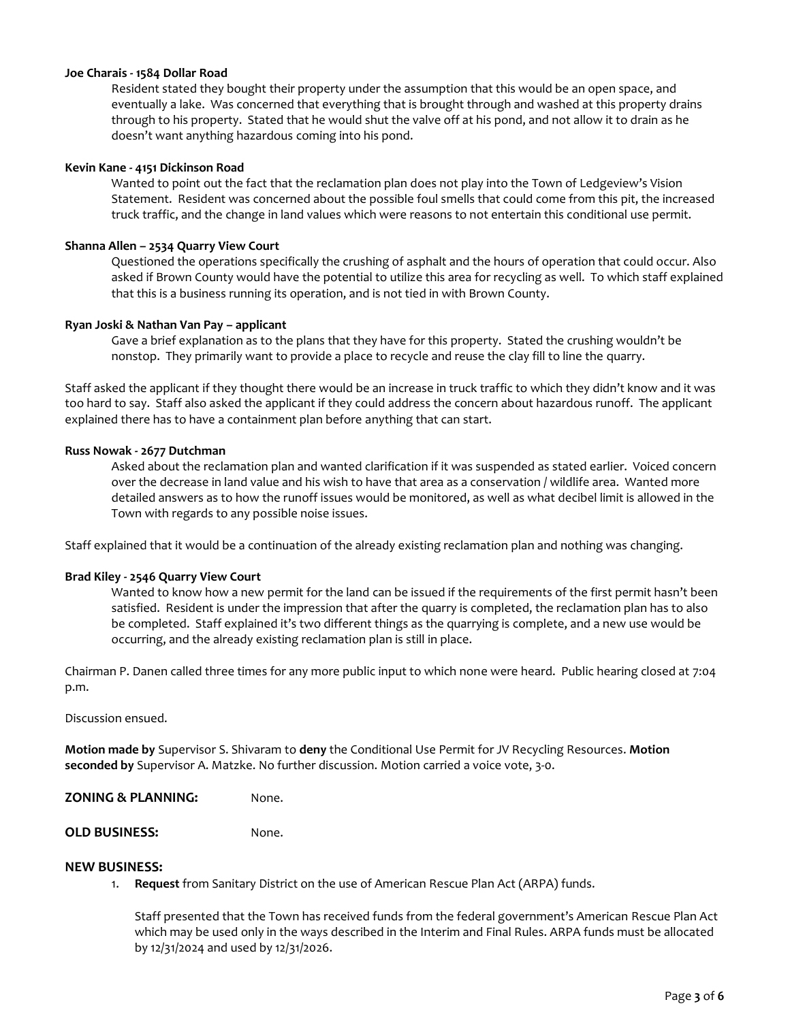#### **Joe Charais - 1584 Dollar Road**

Resident stated they bought their property under the assumption that this would be an open space, and eventually a lake. Was concerned that everything that is brought through and washed at this property drains through to his property. Stated that he would shut the valve off at his pond, and not allow it to drain as he doesn't want anything hazardous coming into his pond.

#### **Kevin Kane - 4151 Dickinson Road**

Wanted to point out the fact that the reclamation plan does not play into the Town of Ledgeview's Vision Statement. Resident was concerned about the possible foul smells that could come from this pit, the increased truck traffic, and the change in land values which were reasons to not entertain this conditional use permit.

#### **Shanna Allen – 2534 Quarry View Court**

Questioned the operations specifically the crushing of asphalt and the hours of operation that could occur. Also asked if Brown County would have the potential to utilize this area for recycling as well. To which staff explained that this is a business running its operation, and is not tied in with Brown County.

#### **Ryan Joski & Nathan Van Pay – applicant**

Gave a brief explanation as to the plans that they have for this property. Stated the crushing wouldn't be nonstop. They primarily want to provide a place to recycle and reuse the clay fill to line the quarry.

Staff asked the applicant if they thought there would be an increase in truck traffic to which they didn't know and it was too hard to say. Staff also asked the applicant if they could address the concern about hazardous runoff. The applicant explained there has to have a containment plan before anything that can start.

#### **Russ Nowak - 2677 Dutchman**

Asked about the reclamation plan and wanted clarification if it was suspended as stated earlier. Voiced concern over the decrease in land value and his wish to have that area as a conservation / wildlife area. Wanted more detailed answers as to how the runoff issues would be monitored, as well as what decibel limit is allowed in the Town with regards to any possible noise issues.

Staff explained that it would be a continuation of the already existing reclamation plan and nothing was changing.

#### **Brad Kiley - 2546 Quarry View Court**

Wanted to know how a new permit for the land can be issued if the requirements of the first permit hasn't been satisfied. Resident is under the impression that after the quarry is completed, the reclamation plan has to also be completed. Staff explained it's two different things as the quarrying is complete, and a new use would be occurring, and the already existing reclamation plan is still in place.

Chairman P. Danen called three times for any more public input to which none were heard. Public hearing closed at 7:04 p.m.

Discussion ensued.

**Motion made by** Supervisor S. Shivaram to **deny** the Conditional Use Permit for JV Recycling Resources. **Motion seconded by** Supervisor A. Matzke. No further discussion. Motion carried a voice vote, 3-0.

**ZONING & PLANNING:** None.

**OLD BUSINESS:** None.

#### **NEW BUSINESS:**

1. **Request** from Sanitary District on the use of American Rescue Plan Act (ARPA) funds.

Staff presented that the Town has received funds from the federal government's American Rescue Plan Act which may be used only in the ways described in the Interim and Final Rules. ARPA funds must be allocated by 12/31/2024 and used by 12/31/2026.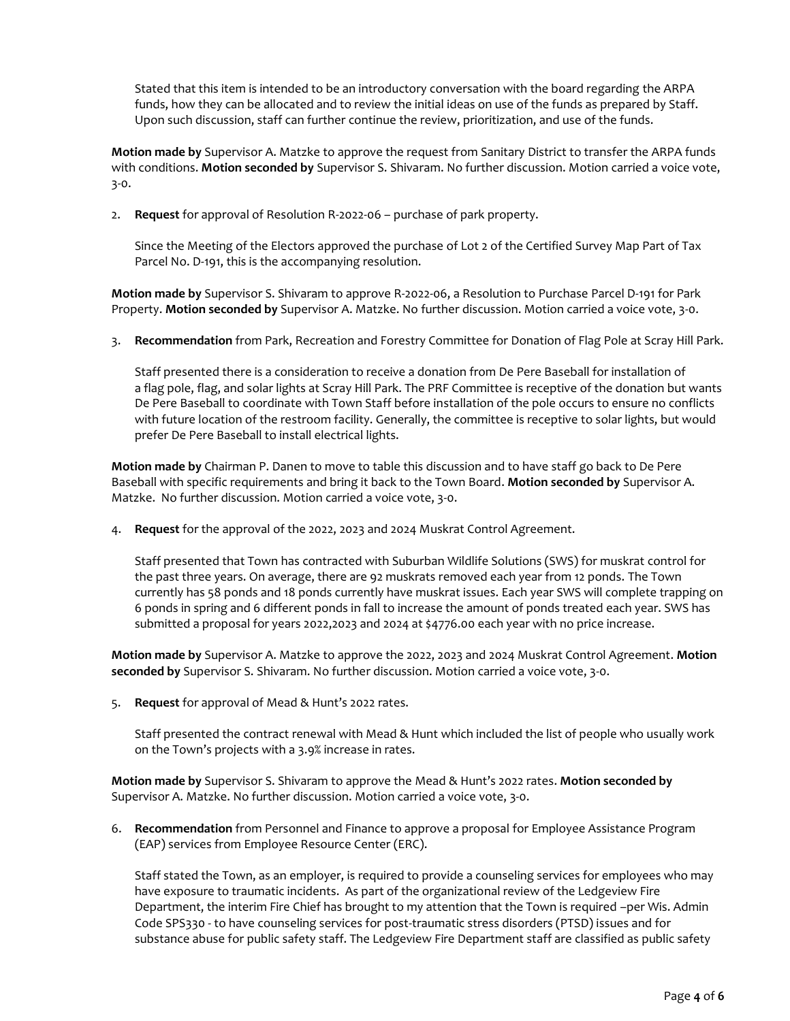Stated that this item is intended to be an introductory conversation with the board regarding the ARPA funds, how they can be allocated and to review the initial ideas on use of the funds as prepared by Staff. Upon such discussion, staff can further continue the review, prioritization, and use of the funds.

**Motion made by** Supervisor A. Matzke to approve the request from Sanitary District to transfer the ARPA funds with conditions. **Motion seconded by** Supervisor S. Shivaram. No further discussion. Motion carried a voice vote, 3-0.

2. **Request** for approval of Resolution R-2022-06 – purchase of park property.

Since the Meeting of the Electors approved the purchase of Lot 2 of the Certified Survey Map Part of Tax Parcel No. D-191, this is the accompanying resolution.

**Motion made by** Supervisor S. Shivaram to approve R-2022-06, a Resolution to Purchase Parcel D-191 for Park Property. **Motion seconded by** Supervisor A. Matzke. No further discussion. Motion carried a voice vote, 3-0.

3. **Recommendation** from Park, Recreation and Forestry Committee for Donation of Flag Pole at Scray Hill Park.

Staff presented there is a consideration to receive a donation from De Pere Baseball for installation of a flag pole, flag, and solar lights at Scray Hill Park. The PRF Committee is receptive of the donation but wants De Pere Baseball to coordinate with Town Staff before installation of the pole occurs to ensure no conflicts with future location of the restroom facility. Generally, the committee is receptive to solar lights, but would prefer De Pere Baseball to install electrical lights.

**Motion made by** Chairman P. Danen to move to table this discussion and to have staff go back to De Pere Baseball with specific requirements and bring it back to the Town Board. **Motion seconded by** Supervisor A. Matzke. No further discussion. Motion carried a voice vote, 3-0.

4. **Request** for the approval of the 2022, 2023 and 2024 Muskrat Control Agreement.

Staff presented that Town has contracted with Suburban Wildlife Solutions (SWS) for muskrat control for the past three years. On average, there are 92 muskrats removed each year from 12 ponds. The Town currently has 58 ponds and 18 ponds currently have muskrat issues. Each year SWS will complete trapping on 6 ponds in spring and 6 different ponds in fall to increase the amount of ponds treated each year. SWS has submitted a proposal for years 2022,2023 and 2024 at \$4776.00 each year with no price increase.

**Motion made by** Supervisor A. Matzke to approve the 2022, 2023 and 2024 Muskrat Control Agreement. **Motion seconded by** Supervisor S. Shivaram. No further discussion. Motion carried a voice vote, 3-0.

5. **Request** for approval of Mead & Hunt's 2022 rates.

Staff presented the contract renewal with Mead & Hunt which included the list of people who usually work on the Town's projects with a 3.9% increase in rates.

**Motion made by** Supervisor S. Shivaram to approve the Mead & Hunt's 2022 rates. **Motion seconded by** Supervisor A. Matzke. No further discussion. Motion carried a voice vote, 3-0.

6. **Recommendation** from Personnel and Finance to approve a proposal for Employee Assistance Program (EAP) services from Employee Resource Center (ERC).

Staff stated the Town, as an employer, is required to provide a counseling services for employees who may have exposure to traumatic incidents. As part of the organizational review of the Ledgeview Fire Department, the interim Fire Chief has brought to my attention that the Town is required –per Wis. Admin Code SPS330 - to have counseling services for post-traumatic stress disorders (PTSD) issues and for substance abuse for public safety staff. The Ledgeview Fire Department staff are classified as public safety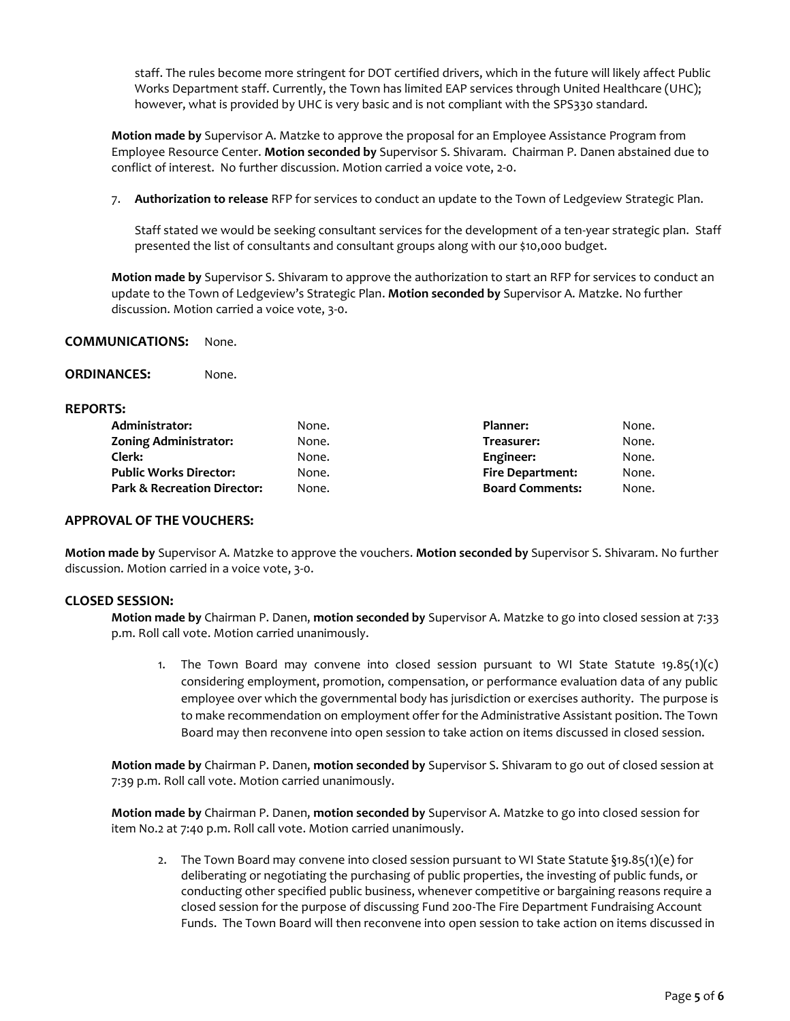staff. The rules become more stringent for DOT certified drivers, which in the future will likely affect Public Works Department staff. Currently, the Town has limited EAP services through United Healthcare (UHC); however, what is provided by UHC is very basic and is not compliant with the SPS330 standard.

**Motion made by** Supervisor A. Matzke to approve the proposal for an Employee Assistance Program from Employee Resource Center. **Motion seconded by** Supervisor S. Shivaram. Chairman P. Danen abstained due to conflict of interest. No further discussion. Motion carried a voice vote, 2-0.

7. **Authorization to release** RFP for services to conduct an update to the Town of Ledgeview Strategic Plan.

Staff stated we would be seeking consultant services for the development of a ten-year strategic plan. Staff presented the list of consultants and consultant groups along with our \$10,000 budget.

**Motion made by** Supervisor S. Shivaram to approve the authorization to start an RFP for services to conduct an update to the Town of Ledgeview's Strategic Plan. **Motion seconded by** Supervisor A. Matzke. No further discussion. Motion carried a voice vote, 3-0.

## **COMMUNICATIONS:** None.

### **REPORTS:**

| Administrator:                         | None. | Planner:                | None. |
|----------------------------------------|-------|-------------------------|-------|
| <b>Zoning Administrator:</b>           | None. | Treasurer:              | None. |
| Clerk:                                 | None. | Engineer:               | None. |
| <b>Public Works Director:</b>          | None. | <b>Fire Department:</b> | None. |
| <b>Park &amp; Recreation Director:</b> | None. | <b>Board Comments:</b>  | None. |
|                                        |       |                         |       |

### **APPROVAL OF THE VOUCHERS:**

**Motion made by** Supervisor A. Matzke to approve the vouchers. **Motion seconded by** Supervisor S. Shivaram. No further discussion. Motion carried in a voice vote, 3-0.

### **CLOSED SESSION:**

**Motion made by** Chairman P. Danen, **motion seconded by** Supervisor A. Matzke to go into closed session at 7:33 p.m. Roll call vote. Motion carried unanimously.

1. The Town Board may convene into closed session pursuant to WI State Statute  $19.85(1)(c)$ considering employment, promotion, compensation, or performance evaluation data of any public employee over which the governmental body has jurisdiction or exercises authority. The purpose is to make recommendation on employment offer for the Administrative Assistant position. The Town Board may then reconvene into open session to take action on items discussed in closed session.

**Motion made by** Chairman P. Danen, **motion seconded by** Supervisor S. Shivaram to go out of closed session at 7:39 p.m. Roll call vote. Motion carried unanimously.

**Motion made by** Chairman P. Danen, **motion seconded by** Supervisor A. Matzke to go into closed session for item No.2 at 7:40 p.m. Roll call vote. Motion carried unanimously.

2. The Town Board may convene into closed session pursuant to WI State Statute  $\S$ 19.85(1)(e) for deliberating or negotiating the purchasing of public properties, the investing of public funds, or conducting other specified public business, whenever competitive or bargaining reasons require a closed session for the purpose of discussing Fund 200-The Fire Department Fundraising Account Funds. The Town Board will then reconvene into open session to take action on items discussed in